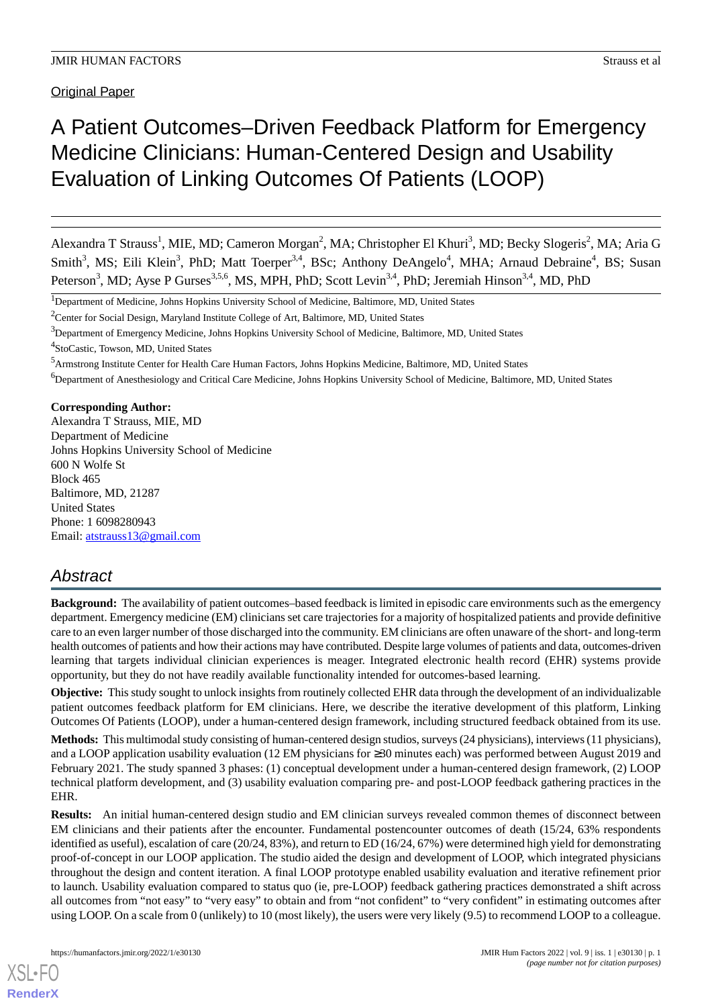# A Patient Outcomes–Driven Feedback Platform for Emergency Medicine Clinicians: Human-Centered Design and Usability Evaluation of Linking Outcomes Of Patients (LOOP)

Alexandra T Strauss<sup>1</sup>, MIE, MD; Cameron Morgan<sup>2</sup>, MA; Christopher El Khuri<sup>3</sup>, MD; Becky Slogeris<sup>2</sup>, MA; Aria G Smith<sup>3</sup>, MS; Eili Klein<sup>3</sup>, PhD; Matt Toerper<sup>3,4</sup>, BSc; Anthony DeAngelo<sup>4</sup>, MHA; Arnaud Debraine<sup>4</sup>, BS; Susan Peterson<sup>3</sup>, MD; Ayse P Gurses<sup>3,5,6</sup>, MS, MPH, PhD; Scott Levin<sup>3,4</sup>, PhD; Jeremiah Hinson<sup>3,4</sup>, MD, PhD

<sup>1</sup>Department of Medicine, Johns Hopkins University School of Medicine, Baltimore, MD, United States

<sup>2</sup>Center for Social Design, Maryland Institute College of Art, Baltimore, MD, United States

<sup>3</sup>Department of Emergency Medicine, Johns Hopkins University School of Medicine, Baltimore, MD, United States

4 StoCastic, Towson, MD, United States

<sup>5</sup>Armstrong Institute Center for Health Care Human Factors, Johns Hopkins Medicine, Baltimore, MD, United States

<sup>6</sup>Department of Anesthesiology and Critical Care Medicine, Johns Hopkins University School of Medicine, Baltimore, MD, United States

### **Corresponding Author:**

Alexandra T Strauss, MIE, MD Department of Medicine Johns Hopkins University School of Medicine 600 N Wolfe St Block 465 Baltimore, MD, 21287 United States Phone: 1 6098280943 Email: [atstrauss13@gmail.com](mailto:atstrauss13@gmail.com)

# *Abstract*

**Background:** The availability of patient outcomes–based feedback is limited in episodic care environments such as the emergency department. Emergency medicine (EM) clinicians set care trajectories for a majority of hospitalized patients and provide definitive care to an even larger number of those discharged into the community. EM clinicians are often unaware of the short- and long-term health outcomes of patients and how their actions may have contributed. Despite large volumes of patients and data, outcomes-driven learning that targets individual clinician experiences is meager. Integrated electronic health record (EHR) systems provide opportunity, but they do not have readily available functionality intended for outcomes-based learning.

**Objective:** This study sought to unlock insights from routinely collected EHR data through the development of an individualizable patient outcomes feedback platform for EM clinicians. Here, we describe the iterative development of this platform, Linking Outcomes Of Patients (LOOP), under a human-centered design framework, including structured feedback obtained from its use.

**Methods:** This multimodal study consisting of human-centered design studios, surveys (24 physicians), interviews (11 physicians), and a LOOP application usability evaluation (12 EM physicians for ≥30 minutes each) was performed between August 2019 and February 2021. The study spanned 3 phases: (1) conceptual development under a human-centered design framework, (2) LOOP technical platform development, and (3) usability evaluation comparing pre- and post-LOOP feedback gathering practices in the EHR.

**Results:** An initial human-centered design studio and EM clinician surveys revealed common themes of disconnect between EM clinicians and their patients after the encounter. Fundamental postencounter outcomes of death (15/24, 63% respondents identified as useful), escalation of care (20/24, 83%), and return to ED (16/24, 67%) were determined high yield for demonstrating proof-of-concept in our LOOP application. The studio aided the design and development of LOOP, which integrated physicians throughout the design and content iteration. A final LOOP prototype enabled usability evaluation and iterative refinement prior to launch. Usability evaluation compared to status quo (ie, pre-LOOP) feedback gathering practices demonstrated a shift across all outcomes from "not easy" to "very easy" to obtain and from "not confident" to "very confident" in estimating outcomes after using LOOP. On a scale from 0 (unlikely) to 10 (most likely), the users were very likely (9.5) to recommend LOOP to a colleague.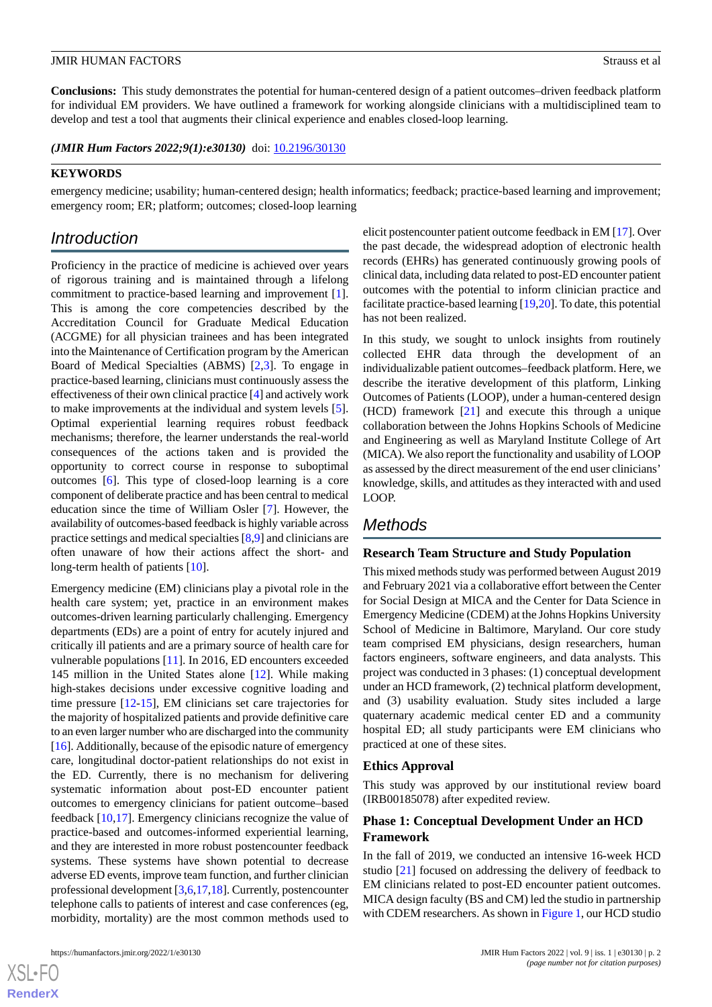**Conclusions:** This study demonstrates the potential for human-centered design of a patient outcomes–driven feedback platform for individual EM providers. We have outlined a framework for working alongside clinicians with a multidisciplined team to develop and test a tool that augments their clinical experience and enables closed-loop learning.

(JMIR Hum Factors 2022;9(1):e30130) doi: [10.2196/30130](http://dx.doi.org/10.2196/30130)

### **KEYWORDS**

emergency medicine; usability; human-centered design; health informatics; feedback; practice-based learning and improvement; emergency room; ER; platform; outcomes; closed-loop learning

# *Introduction*

Proficiency in the practice of medicine is achieved over years of rigorous training and is maintained through a lifelong commitment to practice-based learning and improvement [[1\]](#page-12-0). This is among the core competencies described by the Accreditation Council for Graduate Medical Education (ACGME) for all physician trainees and has been integrated into the Maintenance of Certification program by the American Board of Medical Specialties (ABMS) [[2](#page-12-1)[,3\]](#page-12-2). To engage in practice-based learning, clinicians must continuously assess the effectiveness of their own clinical practice [\[4\]](#page-12-3) and actively work to make improvements at the individual and system levels [[5\]](#page-12-4). Optimal experiential learning requires robust feedback mechanisms; therefore, the learner understands the real-world consequences of the actions taken and is provided the opportunity to correct course in response to suboptimal outcomes [\[6](#page-12-5)]. This type of closed-loop learning is a core component of deliberate practice and has been central to medical education since the time of William Osler [\[7](#page-12-6)]. However, the availability of outcomes-based feedback is highly variable across practice settings and medical specialties [\[8](#page-12-7),[9\]](#page-12-8) and clinicians are often unaware of how their actions affect the short- and long-term health of patients [\[10](#page-12-9)].

Emergency medicine (EM) clinicians play a pivotal role in the health care system; yet, practice in an environment makes outcomes-driven learning particularly challenging. Emergency departments (EDs) are a point of entry for acutely injured and critically ill patients and are a primary source of health care for vulnerable populations [[11\]](#page-12-10). In 2016, ED encounters exceeded 145 million in the United States alone [[12\]](#page-12-11). While making high-stakes decisions under excessive cognitive loading and time pressure [\[12](#page-12-11)[-15](#page-12-12)], EM clinicians set care trajectories for the majority of hospitalized patients and provide definitive care to an even larger number who are discharged into the community [[16\]](#page-12-13). Additionally, because of the episodic nature of emergency care, longitudinal doctor-patient relationships do not exist in the ED. Currently, there is no mechanism for delivering systematic information about post-ED encounter patient outcomes to emergency clinicians for patient outcome–based feedback [\[10](#page-12-9),[17\]](#page-12-14). Emergency clinicians recognize the value of practice-based and outcomes-informed experiential learning, and they are interested in more robust postencounter feedback systems. These systems have shown potential to decrease adverse ED events, improve team function, and further clinician professional development [\[3](#page-12-2),[6,](#page-12-5)[17](#page-12-14)[,18](#page-12-15)]. Currently, postencounter telephone calls to patients of interest and case conferences (eg, morbidity, mortality) are the most common methods used to

elicit postencounter patient outcome feedback in EM [[17](#page-12-14)]. Over the past decade, the widespread adoption of electronic health records (EHRs) has generated continuously growing pools of clinical data, including data related to post-ED encounter patient outcomes with the potential to inform clinician practice and facilitate practice-based learning [\[19](#page-12-16)[,20](#page-12-17)]. To date, this potential has not been realized.

In this study, we sought to unlock insights from routinely collected EHR data through the development of an individualizable patient outcomes–feedback platform. Here, we describe the iterative development of this platform, Linking Outcomes of Patients (LOOP), under a human-centered design (HCD) framework [\[21](#page-12-18)] and execute this through a unique collaboration between the Johns Hopkins Schools of Medicine and Engineering as well as Maryland Institute College of Art (MICA). We also report the functionality and usability of LOOP as assessed by the direct measurement of the end user clinicians' knowledge, skills, and attitudes as they interacted with and used LOOP.

# *Methods*

### **Research Team Structure and Study Population**

This mixed methods study was performed between August 2019 and February 2021 via a collaborative effort between the Center for Social Design at MICA and the Center for Data Science in Emergency Medicine (CDEM) at the Johns Hopkins University School of Medicine in Baltimore, Maryland. Our core study team comprised EM physicians, design researchers, human factors engineers, software engineers, and data analysts. This project was conducted in 3 phases: (1) conceptual development under an HCD framework, (2) technical platform development, and (3) usability evaluation. Study sites included a large quaternary academic medical center ED and a community hospital ED; all study participants were EM clinicians who practiced at one of these sites.

# **Ethics Approval**

This study was approved by our institutional review board (IRB00185078) after expedited review.

# **Phase 1: Conceptual Development Under an HCD Framework**

In the fall of 2019, we conducted an intensive 16-week HCD studio [\[21](#page-12-18)] focused on addressing the delivery of feedback to EM clinicians related to post-ED encounter patient outcomes. MICA design faculty (BS and CM) led the studio in partnership with CDEM researchers. As shown in [Figure 1](#page-2-0), our HCD studio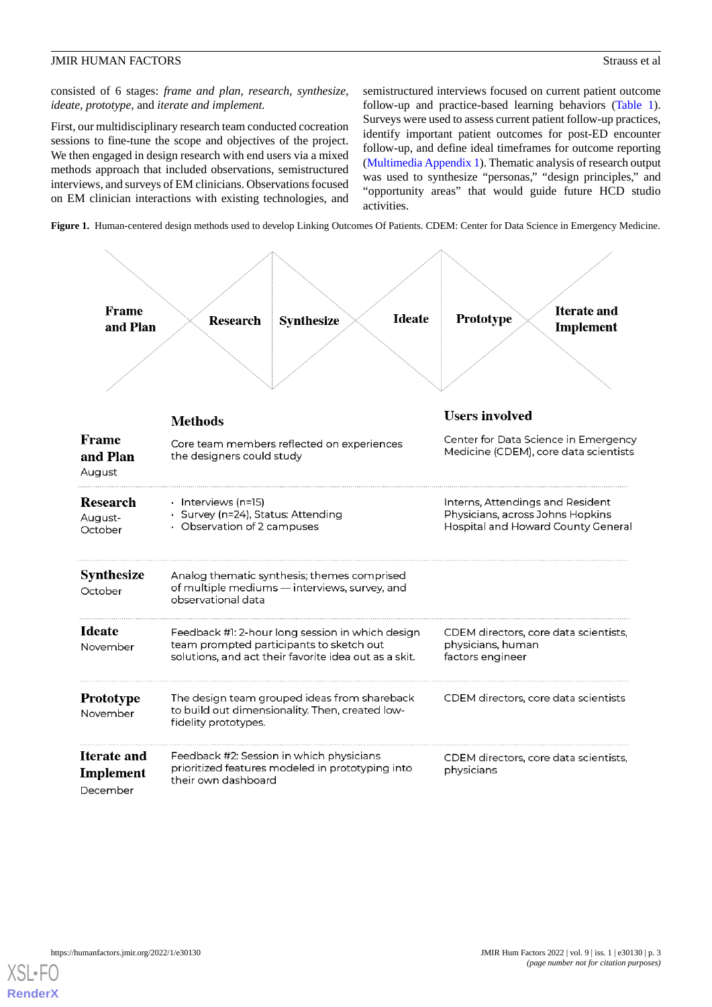consisted of 6 stages: *frame and plan, research, synthesize, ideate, prototype,* and *iterate and implement.*

First, our multidisciplinary research team conducted cocreation sessions to fine-tune the scope and objectives of the project. We then engaged in design research with end users via a mixed methods approach that included observations, semistructured interviews, and surveys of EM clinicians. Observations focused on EM clinician interactions with existing technologies, and semistructured interviews focused on current patient outcome follow-up and practice-based learning behaviors ([Table 1\)](#page-3-0). Surveys were used to assess current patient follow-up practices, identify important patient outcomes for post-ED encounter follow-up, and define ideal timeframes for outcome reporting ([Multimedia Appendix 1](#page-11-0)). Thematic analysis of research output was used to synthesize "personas," "design principles," and "opportunity areas" that would guide future HCD studio activities.

<span id="page-2-0"></span>**Figure 1.** Human-centered design methods used to develop Linking Outcomes Of Patients. CDEM: Center for Data Science in Emergency Medicine.



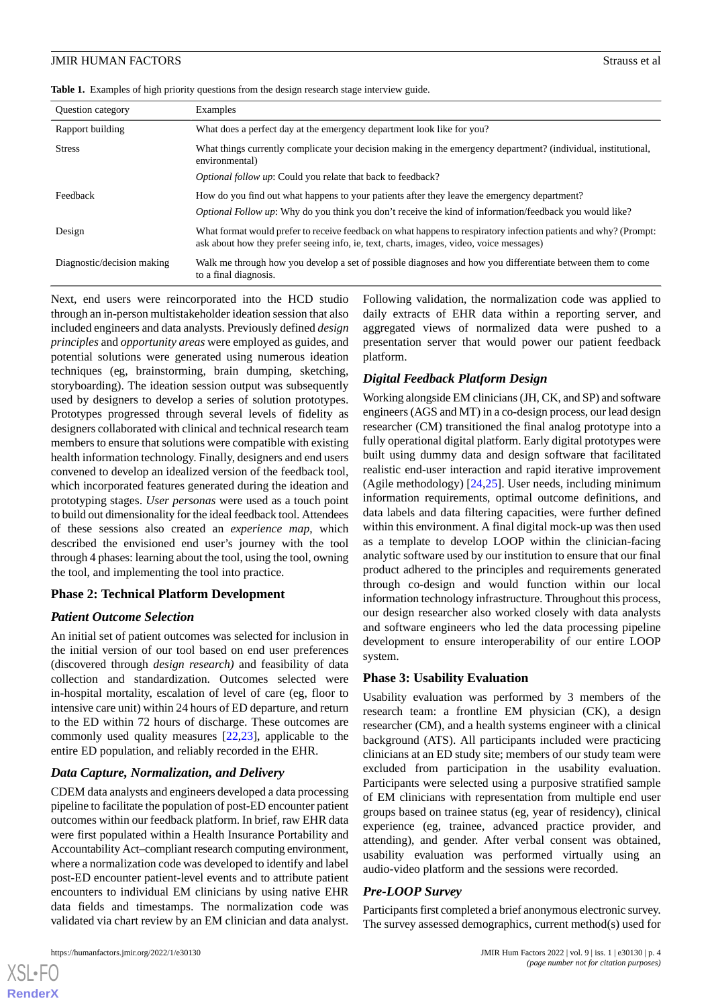<span id="page-3-0"></span>**Table 1.** Examples of high priority questions from the design research stage interview guide.

| <b>Ouestion category</b>   | Examples                                                                                                                                                                                                    |
|----------------------------|-------------------------------------------------------------------------------------------------------------------------------------------------------------------------------------------------------------|
| Rapport building           | What does a perfect day at the emergency department look like for you?                                                                                                                                      |
| <b>Stress</b>              | What things currently complicate your decision making in the emergency department? (individual, institutional,<br>environmental)                                                                            |
|                            | Optional follow up: Could you relate that back to feedback?                                                                                                                                                 |
| Feedback                   | How do you find out what happens to your patients after they leave the emergency department?                                                                                                                |
|                            | <i>Optional Follow up:</i> Why do you think you don't receive the kind of information/feedback you would like?                                                                                              |
| Design                     | What format would prefer to receive feedback on what happens to respiratory infection patients and why? (Prompt:<br>ask about how they prefer seeing info, ie, text, charts, images, video, voice messages) |
| Diagnostic/decision making | Walk me through how you develop a set of possible diagnoses and how you differentiate between them to come<br>to a final diagnosis.                                                                         |

Next, end users were reincorporated into the HCD studio through an in-person multistakeholder ideation session that also included engineers and data analysts. Previously defined *design principles* and *opportunity areas* were employed as guides, and potential solutions were generated using numerous ideation techniques (eg, brainstorming, brain dumping, sketching, storyboarding). The ideation session output was subsequently used by designers to develop a series of solution prototypes. Prototypes progressed through several levels of fidelity as designers collaborated with clinical and technical research team members to ensure that solutions were compatible with existing health information technology. Finally, designers and end users convened to develop an idealized version of the feedback tool, which incorporated features generated during the ideation and prototyping stages. *User personas* were used as a touch point to build out dimensionality for the ideal feedback tool. Attendees of these sessions also created an *experience map*, which described the envisioned end user's journey with the tool through 4 phases: learning about the tool, using the tool, owning the tool, and implementing the tool into practice.

# **Phase 2: Technical Platform Development**

# *Patient Outcome Selection*

An initial set of patient outcomes was selected for inclusion in the initial version of our tool based on end user preferences (discovered through *design research)* and feasibility of data collection and standardization. Outcomes selected were in-hospital mortality, escalation of level of care (eg, floor to intensive care unit) within 24 hours of ED departure, and return to the ED within 72 hours of discharge. These outcomes are commonly used quality measures [\[22](#page-12-19),[23\]](#page-12-20), applicable to the entire ED population, and reliably recorded in the EHR.

# *Data Capture, Normalization, and Delivery*

CDEM data analysts and engineers developed a data processing pipeline to facilitate the population of post-ED encounter patient outcomes within our feedback platform. In brief, raw EHR data were first populated within a Health Insurance Portability and Accountability Act–compliant research computing environment, where a normalization code was developed to identify and label post-ED encounter patient-level events and to attribute patient encounters to individual EM clinicians by using native EHR data fields and timestamps. The normalization code was validated via chart review by an EM clinician and data analyst.

[XSL](http://www.w3.org/Style/XSL)•FO **[RenderX](http://www.renderx.com/)**

Following validation, the normalization code was applied to daily extracts of EHR data within a reporting server, and aggregated views of normalized data were pushed to a presentation server that would power our patient feedback platform.

# *Digital Feedback Platform Design*

Working alongside EM clinicians (JH, CK, and SP) and software engineers (AGS and MT) in a co-design process, our lead design researcher (CM) transitioned the final analog prototype into a fully operational digital platform. Early digital prototypes were built using dummy data and design software that facilitated realistic end-user interaction and rapid iterative improvement (Agile methodology) [[24,](#page-12-21)[25](#page-12-22)]. User needs, including minimum information requirements, optimal outcome definitions, and data labels and data filtering capacities, were further defined within this environment. A final digital mock-up was then used as a template to develop LOOP within the clinician-facing analytic software used by our institution to ensure that our final product adhered to the principles and requirements generated through co-design and would function within our local information technology infrastructure. Throughout this process, our design researcher also worked closely with data analysts and software engineers who led the data processing pipeline development to ensure interoperability of our entire LOOP system.

# **Phase 3: Usability Evaluation**

Usability evaluation was performed by 3 members of the research team: a frontline EM physician (CK), a design researcher (CM), and a health systems engineer with a clinical background (ATS). All participants included were practicing clinicians at an ED study site; members of our study team were excluded from participation in the usability evaluation. Participants were selected using a purposive stratified sample of EM clinicians with representation from multiple end user groups based on trainee status (eg, year of residency), clinical experience (eg, trainee, advanced practice provider, and attending), and gender. After verbal consent was obtained, usability evaluation was performed virtually using an audio-video platform and the sessions were recorded.

# *Pre-LOOP Survey*

Participants first completed a brief anonymous electronic survey. The survey assessed demographics, current method(s) used for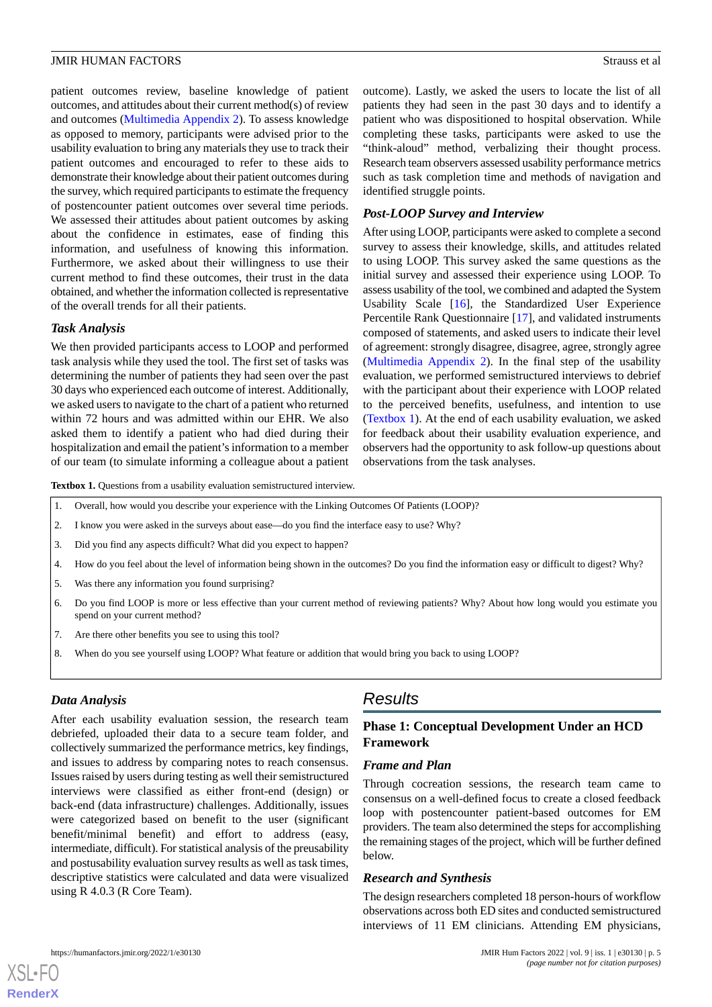patient outcomes review, baseline knowledge of patient outcomes, and attitudes about their current method(s) of review and outcomes ([Multimedia Appendix 2\)](#page-11-1). To assess knowledge as opposed to memory, participants were advised prior to the usability evaluation to bring any materials they use to track their patient outcomes and encouraged to refer to these aids to demonstrate their knowledge about their patient outcomes during the survey, which required participants to estimate the frequency of postencounter patient outcomes over several time periods. We assessed their attitudes about patient outcomes by asking about the confidence in estimates, ease of finding this information, and usefulness of knowing this information. Furthermore, we asked about their willingness to use their current method to find these outcomes, their trust in the data obtained, and whether the information collected is representative of the overall trends for all their patients.

### *Task Analysis*

We then provided participants access to LOOP and performed task analysis while they used the tool. The first set of tasks was determining the number of patients they had seen over the past 30 days who experienced each outcome of interest. Additionally, we asked users to navigate to the chart of a patient who returned within 72 hours and was admitted within our EHR. We also asked them to identify a patient who had died during their hospitalization and email the patient's information to a member of our team (to simulate informing a colleague about a patient outcome). Lastly, we asked the users to locate the list of all patients they had seen in the past 30 days and to identify a patient who was dispositioned to hospital observation. While completing these tasks, participants were asked to use the "think-aloud" method, verbalizing their thought process. Research team observers assessed usability performance metrics such as task completion time and methods of navigation and identified struggle points.

## *Post-LOOP Survey and Interview*

After using LOOP, participants were asked to complete a second survey to assess their knowledge, skills, and attitudes related to using LOOP. This survey asked the same questions as the initial survey and assessed their experience using LOOP. To assess usability of the tool, we combined and adapted the System Usability Scale [[16\]](#page-12-13), the Standardized User Experience Percentile Rank Questionnaire [[17\]](#page-12-14), and validated instruments composed of statements, and asked users to indicate their level of agreement: strongly disagree, disagree, agree, strongly agree ([Multimedia Appendix 2\)](#page-11-1). In the final step of the usability evaluation, we performed semistructured interviews to debrief with the participant about their experience with LOOP related to the perceived benefits, usefulness, and intention to use ([Textbox 1](#page-4-0)). At the end of each usability evaluation, we asked for feedback about their usability evaluation experience, and observers had the opportunity to ask follow-up questions about observations from the task analyses.

<span id="page-4-0"></span>Textbox 1. Questions from a usability evaluation semistructured interview.

- 1. Overall, how would you describe your experience with the Linking Outcomes Of Patients (LOOP)?
- 2. I know you were asked in the surveys about ease—do you find the interface easy to use? Why?
- 3. Did you find any aspects difficult? What did you expect to happen?
- 4. How do you feel about the level of information being shown in the outcomes? Do you find the information easy or difficult to digest? Why?
- 5. Was there any information you found surprising?
- 6. Do you find LOOP is more or less effective than your current method of reviewing patients? Why? About how long would you estimate you spend on your current method?
- 7. Are there other benefits you see to using this tool?
- 8. When do you see yourself using LOOP? What feature or addition that would bring you back to using LOOP?

### *Data Analysis*

After each usability evaluation session, the research team debriefed, uploaded their data to a secure team folder, and collectively summarized the performance metrics, key findings, and issues to address by comparing notes to reach consensus. Issues raised by users during testing as well their semistructured interviews were classified as either front-end (design) or back-end (data infrastructure) challenges. Additionally, issues were categorized based on benefit to the user (significant benefit/minimal benefit) and effort to address (easy, intermediate, difficult). For statistical analysis of the preusability and postusability evaluation survey results as well as task times, descriptive statistics were calculated and data were visualized using R 4.0.3 (R Core Team).

# *Results*

# **Phase 1: Conceptual Development Under an HCD Framework**

### *Frame and Plan*

Through cocreation sessions, the research team came to consensus on a well-defined focus to create a closed feedback loop with postencounter patient-based outcomes for EM providers. The team also determined the steps for accomplishing the remaining stages of the project, which will be further defined below.

### *Research and Synthesis*

The design researchers completed 18 person-hours of workflow observations across both ED sites and conducted semistructured interviews of 11 EM clinicians. Attending EM physicians,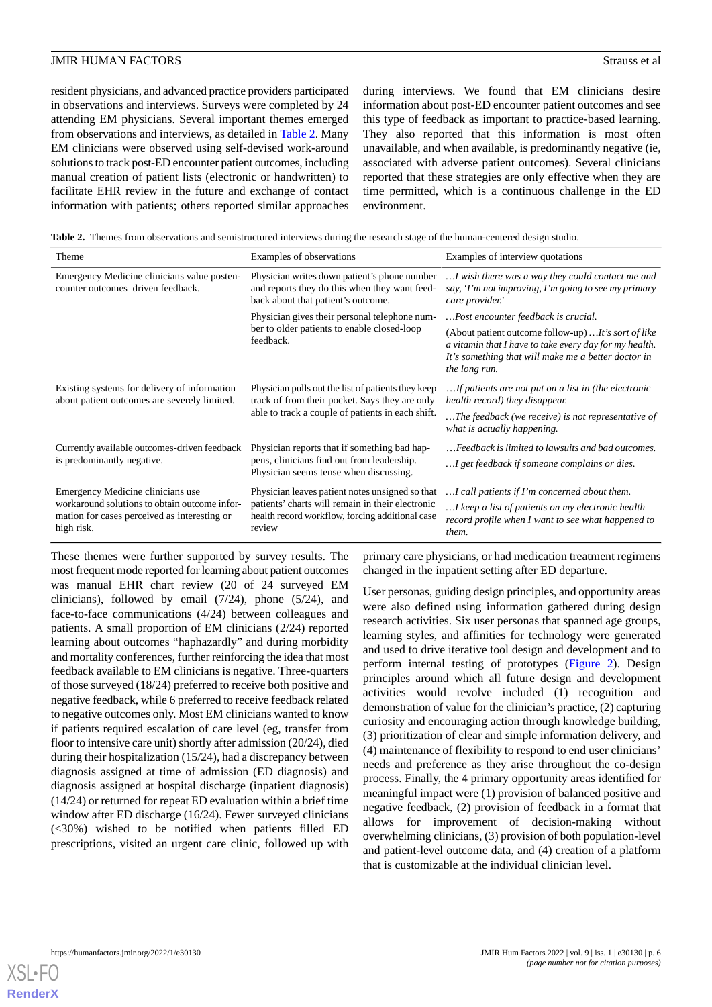resident physicians, and advanced practice providers participated in observations and interviews. Surveys were completed by 24 attending EM physicians. Several important themes emerged from observations and interviews, as detailed in [Table 2.](#page-5-0) Many EM clinicians were observed using self-devised work-around solutions to track post-ED encounter patient outcomes, including manual creation of patient lists (electronic or handwritten) to facilitate EHR review in the future and exchange of contact information with patients; others reported similar approaches during interviews. We found that EM clinicians desire information about post-ED encounter patient outcomes and see this type of feedback as important to practice-based learning. They also reported that this information is most often unavailable, and when available, is predominantly negative (ie, associated with adverse patient outcomes). Several clinicians reported that these strategies are only effective when they are time permitted, which is a continuous challenge in the ED environment.

<span id="page-5-0"></span>**Table 2.** Themes from observations and semistructured interviews during the research stage of the human-centered design studio.

| Theme                                                                                                       | Examples of observations                                                                                                                                         | Examples of interview quotations                                                                                                                                                       |
|-------------------------------------------------------------------------------------------------------------|------------------------------------------------------------------------------------------------------------------------------------------------------------------|----------------------------------------------------------------------------------------------------------------------------------------------------------------------------------------|
| Emergency Medicine clinicians value posten-<br>counter outcomes-driven feedback.                            | Physician writes down patient's phone number<br>and reports they do this when they want feed-<br>back about that patient's outcome.                              | I wish there was a way they could contact me and<br>say, 'I'm not improving, I'm going to see my primary<br>care provider.'                                                            |
|                                                                                                             | Physician gives their personal telephone num-<br>ber to older patients to enable closed-loop<br>feedback.                                                        | Post encounter feedback is crucial.                                                                                                                                                    |
|                                                                                                             |                                                                                                                                                                  | (About patient outcome follow-up)  It's sort of like<br>a vitamin that I have to take every day for my health.<br>It's something that will make me a better doctor in<br>the long run. |
| Existing systems for delivery of information<br>about patient outcomes are severely limited.                | Physician pulls out the list of patients they keep<br>track of from their pocket. Says they are only                                                             | If patients are not put on a list in (the electronic<br>health record) they disappear.                                                                                                 |
|                                                                                                             | able to track a couple of patients in each shift.                                                                                                                | The feedback (we receive) is not representative of<br>what is actually happening.                                                                                                      |
| Currently available outcomes-driven feedback                                                                | Physician reports that if something bad hap-                                                                                                                     | Feedback is limited to lawsuits and bad outcomes.                                                                                                                                      |
| is predominantly negative.                                                                                  | pens, clinicians find out from leadership.<br>Physician seems tense when discussing.                                                                             | I get feedback if someone complains or dies.                                                                                                                                           |
| Emergency Medicine clinicians use                                                                           | Physician leaves patient notes unsigned so that<br>patients' charts will remain in their electronic<br>health record workflow, forcing additional case<br>review | I call patients if I'm concerned about them.                                                                                                                                           |
| workaround solutions to obtain outcome infor-<br>mation for cases perceived as interesting or<br>high risk. |                                                                                                                                                                  | I keep a list of patients on my electronic health<br>record profile when I want to see what happened to<br>them.                                                                       |

These themes were further supported by survey results. The most frequent mode reported for learning about patient outcomes was manual EHR chart review (20 of 24 surveyed EM clinicians), followed by email (7/24), phone (5/24), and face-to-face communications (4/24) between colleagues and patients. A small proportion of EM clinicians (2/24) reported learning about outcomes "haphazardly" and during morbidity and mortality conferences, further reinforcing the idea that most feedback available to EM clinicians is negative. Three-quarters of those surveyed (18/24) preferred to receive both positive and negative feedback, while 6 preferred to receive feedback related to negative outcomes only. Most EM clinicians wanted to know if patients required escalation of care level (eg, transfer from floor to intensive care unit) shortly after admission (20/24), died during their hospitalization (15/24), had a discrepancy between diagnosis assigned at time of admission (ED diagnosis) and diagnosis assigned at hospital discharge (inpatient diagnosis) (14/24) or returned for repeat ED evaluation within a brief time window after ED discharge (16/24). Fewer surveyed clinicians (<30%) wished to be notified when patients filled ED prescriptions, visited an urgent care clinic, followed up with

primary care physicians, or had medication treatment regimens changed in the inpatient setting after ED departure.

User personas, guiding design principles, and opportunity areas were also defined using information gathered during design research activities. Six user personas that spanned age groups, learning styles, and affinities for technology were generated and used to drive iterative tool design and development and to perform internal testing of prototypes ([Figure 2\)](#page-6-0). Design principles around which all future design and development activities would revolve included (1) recognition and demonstration of value for the clinician's practice, (2) capturing curiosity and encouraging action through knowledge building, (3) prioritization of clear and simple information delivery, and (4) maintenance of flexibility to respond to end user clinicians' needs and preference as they arise throughout the co-design process. Finally, the 4 primary opportunity areas identified for meaningful impact were (1) provision of balanced positive and negative feedback, (2) provision of feedback in a format that allows for improvement of decision-making without overwhelming clinicians, (3) provision of both population-level and patient-level outcome data, and (4) creation of a platform that is customizable at the individual clinician level.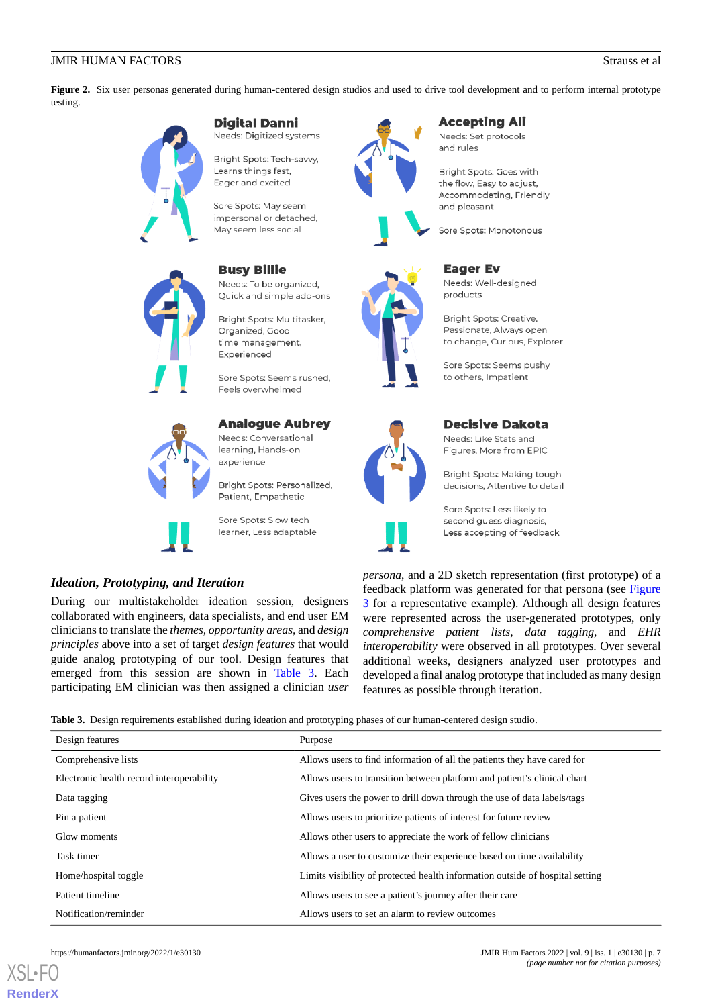<span id="page-6-0"></span>Figure 2. Six user personas generated during human-centered design studios and used to drive tool development and to perform internal prototype testing.



### **Digital Danni**

Needs: Digitized systems

Bright Spots: Tech-savvv. Learns things fast, Eager and excited

Sore Spots: May seem impersonal or detached, May seem less social

### **Busy Billie**

Needs: To be organized, Quick and simple add-ons

Bright Spots: Multitasker, Organized, Good time management, Experienced

Sore Spots: Seems rushed. Feels overwhelmed

## **Analogue Aubrey**

Needs: Conversational learning, Hands-on experience

Bright Spots: Personalized, Patient, Empathetic

Sore Spots: Slow tech learner, Less adaptable

# *Ideation, Prototyping, and Iteration*

<span id="page-6-1"></span>During our multistakeholder ideation session, designers collaborated with engineers, data specialists, and end user EM clinicians to translate the *themes, opportunity areas,* and *design principles* above into a set of target *design features* that would guide analog prototyping of our tool. Design features that emerged from this session are shown in [Table 3.](#page-6-1) Each participating EM clinician was then assigned a clinician *user*





# **Accepting Ali**

Needs: Set protocols and rules

Bright Spots: Goes with the flow, Easy to adjust, Accommodating, Friendly and pleasant

Sore Spots: Monotonous



**Eager Ev** Needs: Well-designed products

Bright Spots: Creative, Passionate, Always open to change, Curious, Explorer

Sore Spots: Seems pushy to others. Impatient



# **Decisive Dakota**

Needs: Like Stats and Figures, More from EPIC

Bright Spots: Making tough decisions, Attentive to detail

Sore Spots: Less likely to second quess diagnosis. Less accepting of feedback

*persona*, and a 2D sketch representation (first prototype) of a feedback platform was generated for that persona (see [Figure](#page-7-0) [3](#page-7-0) for a representative example). Although all design features were represented across the user-generated prototypes, only *comprehensive patient lists*, *data tagging,* and *EHR interoperability* were observed in all prototypes. Over several additional weeks, designers analyzed user prototypes and developed a final analog prototype that included as many design features as possible through iteration.

**Table 3.** Design requirements established during ideation and prototyping phases of our human-centered design studio.

| Design features                           | Purpose                                                                       |
|-------------------------------------------|-------------------------------------------------------------------------------|
| Comprehensive lists                       | Allows users to find information of all the patients they have cared for      |
| Electronic health record interoperability | Allows users to transition between platform and patient's clinical chart      |
| Data tagging                              | Gives users the power to drill down through the use of data labels/tags       |
| Pin a patient                             | Allows users to prioritize patients of interest for future review             |
| Glow moments                              | Allows other users to appreciate the work of fellow clinicians                |
| Task timer                                | Allows a user to customize their experience based on time availability        |
| Home/hospital toggle                      | Limits visibility of protected health information outside of hospital setting |
| Patient timeline                          | Allows users to see a patient's journey after their care                      |
| Notification/reminder                     | Allows users to set an alarm to review outcomes                               |



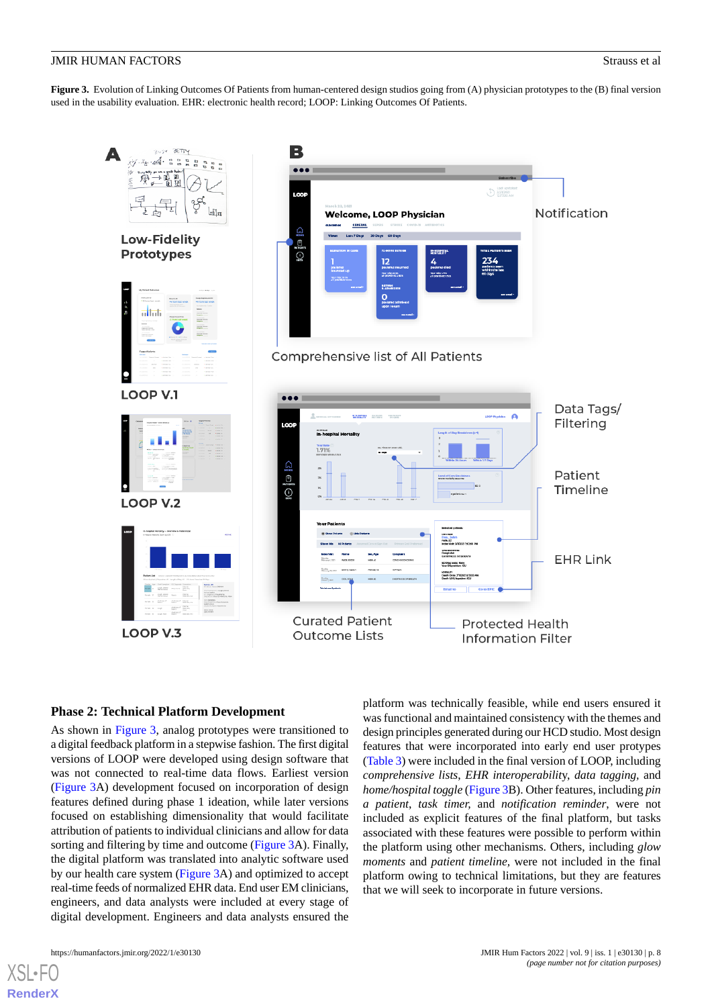<span id="page-7-0"></span>**Figure 3.** Evolution of Linking Outcomes Of Patients from human-centered design studios going from (A) physician prototypes to the (B) final version used in the usability evaluation. EHR: electronic health record; LOOP: Linking Outcomes Of Patients.



# **Phase 2: Technical Platform Development**

As shown in [Figure 3,](#page-7-0) analog prototypes were transitioned to a digital feedback platform in a stepwise fashion. The first digital versions of LOOP were developed using design software that was not connected to real-time data flows. Earliest version ([Figure 3](#page-7-0)A) development focused on incorporation of design features defined during phase 1 ideation, while later versions focused on establishing dimensionality that would facilitate attribution of patients to individual clinicians and allow for data sorting and filtering by time and outcome ([Figure 3](#page-7-0)A). Finally, the digital platform was translated into analytic software used by our health care system [\(Figure 3A](#page-7-0)) and optimized to accept real-time feeds of normalized EHR data. End user EM clinicians, engineers, and data analysts were included at every stage of digital development. Engineers and data analysts ensured the

platform was technically feasible, while end users ensured it was functional and maintained consistency with the themes and design principles generated during our HCD studio. Most design features that were incorporated into early end user protypes ([Table 3\)](#page-6-1) were included in the final version of LOOP, including *comprehensive lists*, *EHR interoperabilit*y, *data tagging,* and *home/hospital toggle* [\(Figure 3](#page-7-0)B). Other features, including *pin a patient*, *task timer,* and *notification reminder*, were not included as explicit features of the final platform, but tasks associated with these features were possible to perform within the platform using other mechanisms. Others, including *glow moments* and *patient timeline,* were not included in the final platform owing to technical limitations, but they are features that we will seek to incorporate in future versions.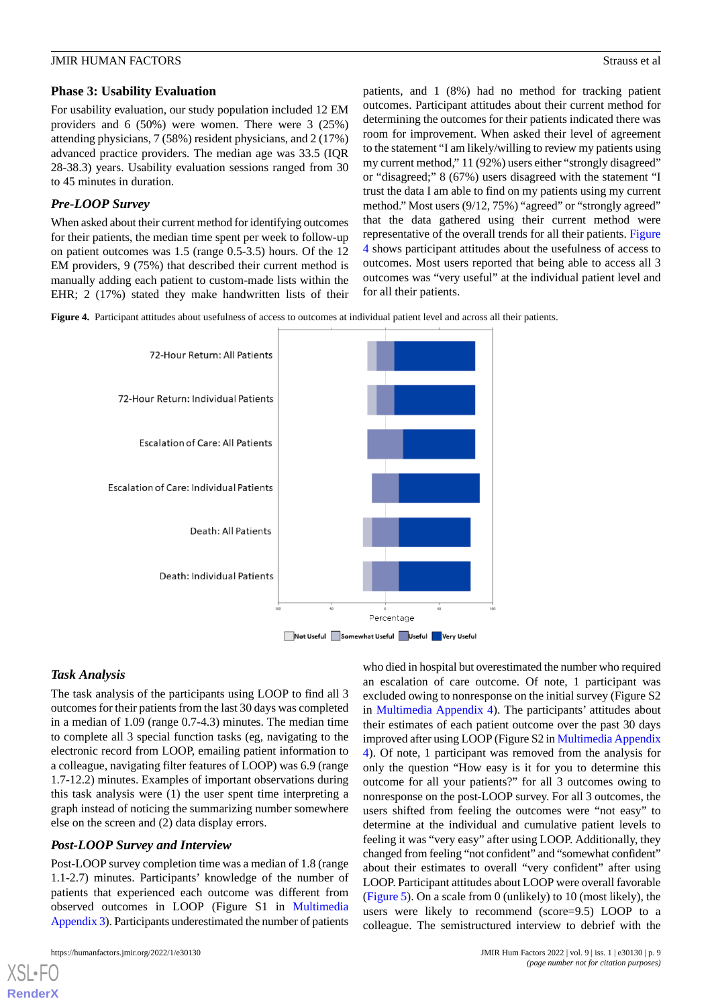### **Phase 3: Usability Evaluation**

For usability evaluation, our study population included 12 EM providers and 6 (50%) were women. There were 3 (25%) attending physicians, 7 (58%) resident physicians, and 2 (17%) advanced practice providers. The median age was 33.5 (IQR 28-38.3) years. Usability evaluation sessions ranged from 30 to 45 minutes in duration.

# *Pre-LOOP Survey*

When asked about their current method for identifying outcomes for their patients, the median time spent per week to follow-up on patient outcomes was 1.5 (range 0.5-3.5) hours. Of the 12 EM providers, 9 (75%) that described their current method is manually adding each patient to custom-made lists within the EHR; 2 (17%) stated they make handwritten lists of their patients, and 1 (8%) had no method for tracking patient outcomes. Participant attitudes about their current method for determining the outcomes for their patients indicated there was room for improvement. When asked their level of agreement to the statement "I am likely/willing to review my patients using my current method," 11 (92%) users either "strongly disagreed" or "disagreed;" 8 (67%) users disagreed with the statement "I trust the data I am able to find on my patients using my current method." Most users (9/12, 75%) "agreed" or "strongly agreed" that the data gathered using their current method were representative of the overall trends for all their patients. [Figure](#page-8-0) [4](#page-8-0) shows participant attitudes about the usefulness of access to outcomes. Most users reported that being able to access all 3 outcomes was "very useful" at the individual patient level and for all their patients.

<span id="page-8-0"></span>**Figure 4.** Participant attitudes about usefulness of access to outcomes at individual patient level and across all their patients.



# *Task Analysis*

The task analysis of the participants using LOOP to find all 3 outcomes for their patients from the last 30 days was completed in a median of 1.09 (range 0.7-4.3) minutes. The median time to complete all 3 special function tasks (eg, navigating to the electronic record from LOOP, emailing patient information to a colleague, navigating filter features of LOOP) was 6.9 (range 1.7-12.2) minutes. Examples of important observations during this task analysis were (1) the user spent time interpreting a graph instead of noticing the summarizing number somewhere else on the screen and (2) data display errors.

# *Post-LOOP Survey and Interview*

Post-LOOP survey completion time was a median of 1.8 (range 1.1-2.7) minutes. Participants' knowledge of the number of patients that experienced each outcome was different from observed outcomes in LOOP (Figure S1 in [Multimedia](#page-11-2) [Appendix 3](#page-11-2)). Participants underestimated the number of patients

[XSL](http://www.w3.org/Style/XSL)•FO **[RenderX](http://www.renderx.com/)**

who died in hospital but overestimated the number who required an escalation of care outcome. Of note, 1 participant was excluded owing to nonresponse on the initial survey (Figure S2 in [Multimedia Appendix 4\)](#page-11-3). The participants' attitudes about their estimates of each patient outcome over the past 30 days improved after using LOOP (Figure S2 in [Multimedia Appendix](#page-11-3) [4\)](#page-11-3). Of note, 1 participant was removed from the analysis for only the question "How easy is it for you to determine this outcome for all your patients?" for all 3 outcomes owing to nonresponse on the post-LOOP survey. For all 3 outcomes, the users shifted from feeling the outcomes were "not easy" to determine at the individual and cumulative patient levels to feeling it was "very easy" after using LOOP. Additionally, they changed from feeling "not confident" and "somewhat confident" about their estimates to overall "very confident" after using LOOP. Participant attitudes about LOOP were overall favorable ([Figure 5](#page-9-0)). On a scale from 0 (unlikely) to 10 (most likely), the users were likely to recommend (score=9.5) LOOP to a colleague. The semistructured interview to debrief with the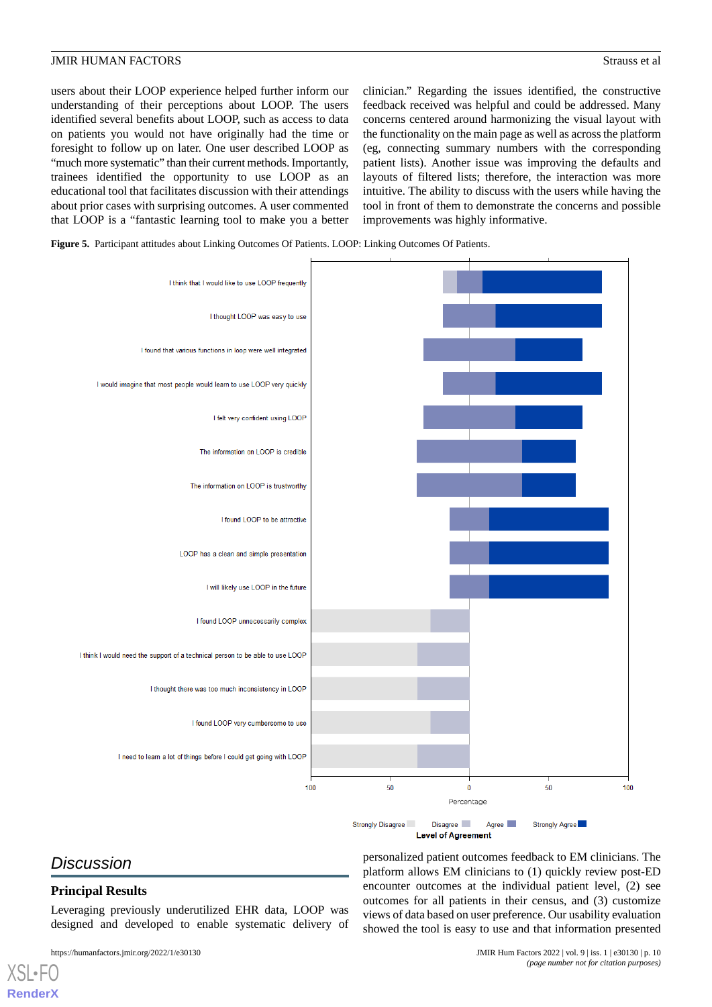users about their LOOP experience helped further inform our understanding of their perceptions about LOOP. The users identified several benefits about LOOP, such as access to data on patients you would not have originally had the time or foresight to follow up on later. One user described LOOP as "much more systematic" than their current methods. Importantly, trainees identified the opportunity to use LOOP as an educational tool that facilitates discussion with their attendings about prior cases with surprising outcomes. A user commented that LOOP is a "fantastic learning tool to make you a better

clinician." Regarding the issues identified, the constructive feedback received was helpful and could be addressed. Many concerns centered around harmonizing the visual layout with the functionality on the main page as well as across the platform (eg, connecting summary numbers with the corresponding patient lists). Another issue was improving the defaults and layouts of filtered lists; therefore, the interaction was more intuitive. The ability to discuss with the users while having the tool in front of them to demonstrate the concerns and possible improvements was highly informative.

<span id="page-9-0"></span>**Figure 5.** Participant attitudes about Linking Outcomes Of Patients. LOOP: Linking Outcomes Of Patients.



# *Discussion*

[XSL](http://www.w3.org/Style/XSL)•FO **[RenderX](http://www.renderx.com/)**

# **Principal Results**

Leveraging previously underutilized EHR data, LOOP was designed and developed to enable systematic delivery of

personalized patient outcomes feedback to EM clinicians. The platform allows EM clinicians to (1) quickly review post-ED encounter outcomes at the individual patient level, (2) see outcomes for all patients in their census, and (3) customize views of data based on user preference. Our usability evaluation showed the tool is easy to use and that information presented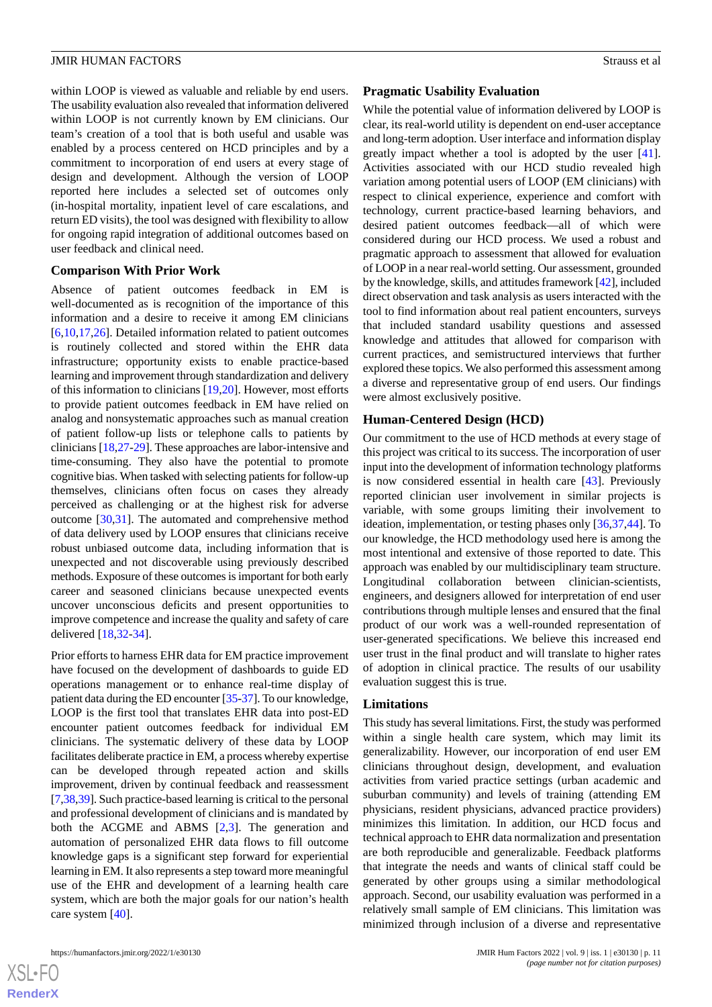within LOOP is viewed as valuable and reliable by end users. The usability evaluation also revealed that information delivered within LOOP is not currently known by EM clinicians. Our team's creation of a tool that is both useful and usable was enabled by a process centered on HCD principles and by a commitment to incorporation of end users at every stage of design and development. Although the version of LOOP reported here includes a selected set of outcomes only (in-hospital mortality, inpatient level of care escalations, and return ED visits), the tool was designed with flexibility to allow for ongoing rapid integration of additional outcomes based on user feedback and clinical need.

#### **Comparison With Prior Work**

Absence of patient outcomes feedback in EM is well-documented as is recognition of the importance of this information and a desire to receive it among EM clinicians [[6](#page-12-5)[,10](#page-12-9),[17](#page-12-14)[,26](#page-12-23)]. Detailed information related to patient outcomes is routinely collected and stored within the EHR data infrastructure; opportunity exists to enable practice-based learning and improvement through standardization and delivery of this information to clinicians [\[19](#page-12-16),[20\]](#page-12-17). However, most efforts to provide patient outcomes feedback in EM have relied on analog and nonsystematic approaches such as manual creation of patient follow-up lists or telephone calls to patients by clinicians [[18](#page-12-15)[,27](#page-12-24)-[29\]](#page-13-0). These approaches are labor-intensive and time-consuming. They also have the potential to promote cognitive bias. When tasked with selecting patients for follow-up themselves, clinicians often focus on cases they already perceived as challenging or at the highest risk for adverse outcome [[30](#page-13-1)[,31](#page-13-2)]. The automated and comprehensive method of data delivery used by LOOP ensures that clinicians receive robust unbiased outcome data, including information that is unexpected and not discoverable using previously described methods. Exposure of these outcomes is important for both early career and seasoned clinicians because unexpected events uncover unconscious deficits and present opportunities to improve competence and increase the quality and safety of care delivered [\[18](#page-12-15),[32-](#page-13-3)[34\]](#page-13-4).

Prior efforts to harness EHR data for EM practice improvement have focused on the development of dashboards to guide ED operations management or to enhance real-time display of patient data during the ED encounter [\[35](#page-13-5)[-37\]](#page-13-6). To our knowledge, LOOP is the first tool that translates EHR data into post-ED encounter patient outcomes feedback for individual EM clinicians. The systematic delivery of these data by LOOP facilitates deliberate practice in EM, a process whereby expertise can be developed through repeated action and skills improvement, driven by continual feedback and reassessment [[7,](#page-12-6)[38](#page-13-7)[,39](#page-13-8)]. Such practice-based learning is critical to the personal and professional development of clinicians and is mandated by both the ACGME and ABMS [[2,](#page-12-1)[3](#page-12-2)]. The generation and automation of personalized EHR data flows to fill outcome knowledge gaps is a significant step forward for experiential learning in EM. It also represents a step toward more meaningful use of the EHR and development of a learning health care system, which are both the major goals for our nation's health care system [\[40](#page-13-9)].

 $XSI - F($ **[RenderX](http://www.renderx.com/)**

#### **Pragmatic Usability Evaluation**

While the potential value of information delivered by LOOP is clear, its real-world utility is dependent on end-user acceptance and long-term adoption. User interface and information display greatly impact whether a tool is adopted by the user [[41\]](#page-13-10). Activities associated with our HCD studio revealed high variation among potential users of LOOP (EM clinicians) with respect to clinical experience, experience and comfort with technology, current practice-based learning behaviors, and desired patient outcomes feedback—all of which were considered during our HCD process. We used a robust and pragmatic approach to assessment that allowed for evaluation of LOOP in a near real-world setting. Our assessment, grounded by the knowledge, skills, and attitudes framework [\[42](#page-13-11)], included direct observation and task analysis as users interacted with the tool to find information about real patient encounters, surveys that included standard usability questions and assessed knowledge and attitudes that allowed for comparison with current practices, and semistructured interviews that further explored these topics. We also performed this assessment among a diverse and representative group of end users. Our findings were almost exclusively positive.

### **Human-Centered Design (HCD)**

Our commitment to the use of HCD methods at every stage of this project was critical to its success. The incorporation of user input into the development of information technology platforms is now considered essential in health care [[43\]](#page-13-12). Previously reported clinician user involvement in similar projects is variable, with some groups limiting their involvement to ideation, implementation, or testing phases only [\[36](#page-13-13),[37](#page-13-6)[,44](#page-13-14)]. To our knowledge, the HCD methodology used here is among the most intentional and extensive of those reported to date. This approach was enabled by our multidisciplinary team structure. Longitudinal collaboration between clinician-scientists, engineers, and designers allowed for interpretation of end user contributions through multiple lenses and ensured that the final product of our work was a well-rounded representation of user-generated specifications. We believe this increased end user trust in the final product and will translate to higher rates of adoption in clinical practice. The results of our usability evaluation suggest this is true.

#### **Limitations**

This study has several limitations. First, the study was performed within a single health care system, which may limit its generalizability. However, our incorporation of end user EM clinicians throughout design, development, and evaluation activities from varied practice settings (urban academic and suburban community) and levels of training (attending EM physicians, resident physicians, advanced practice providers) minimizes this limitation. In addition, our HCD focus and technical approach to EHR data normalization and presentation are both reproducible and generalizable. Feedback platforms that integrate the needs and wants of clinical staff could be generated by other groups using a similar methodological approach. Second, our usability evaluation was performed in a relatively small sample of EM clinicians. This limitation was minimized through inclusion of a diverse and representative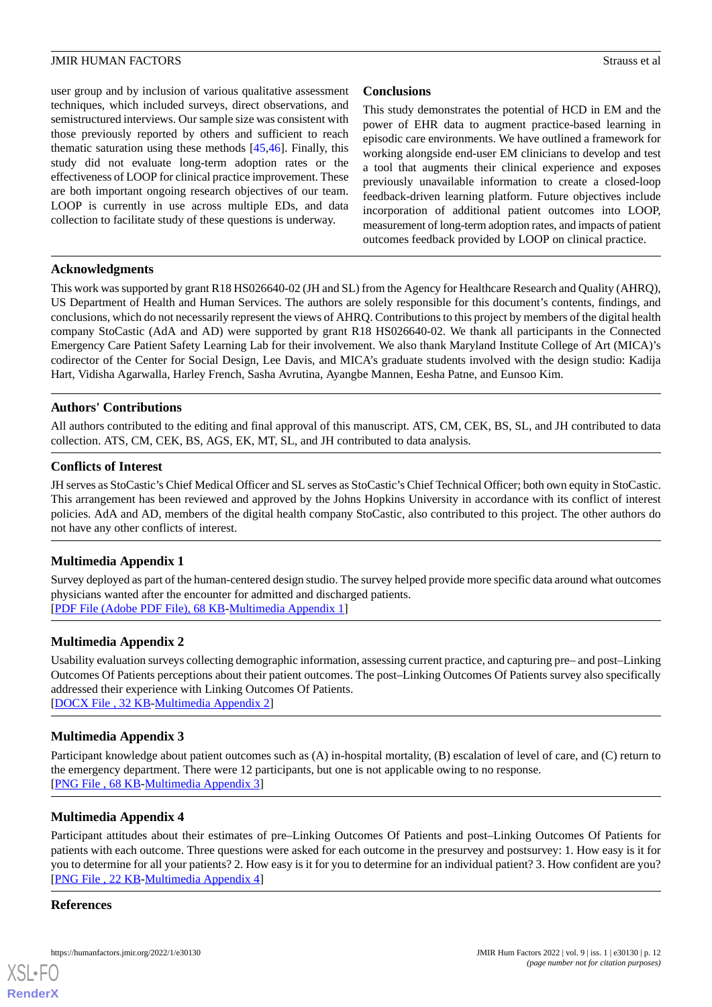user group and by inclusion of various qualitative assessment techniques, which included surveys, direct observations, and semistructured interviews. Our sample size was consistent with those previously reported by others and sufficient to reach thematic saturation using these methods [\[45](#page-13-15),[46\]](#page-13-16). Finally, this study did not evaluate long-term adoption rates or the effectiveness of LOOP for clinical practice improvement. These are both important ongoing research objectives of our team. LOOP is currently in use across multiple EDs, and data collection to facilitate study of these questions is underway.

# **Conclusions**

This study demonstrates the potential of HCD in EM and the power of EHR data to augment practice-based learning in episodic care environments. We have outlined a framework for working alongside end-user EM clinicians to develop and test a tool that augments their clinical experience and exposes previously unavailable information to create a closed-loop feedback-driven learning platform. Future objectives include incorporation of additional patient outcomes into LOOP, measurement of long-term adoption rates, and impacts of patient outcomes feedback provided by LOOP on clinical practice.

## **Acknowledgments**

This work was supported by grant R18 HS026640-02 (JH and SL) from the Agency for Healthcare Research and Quality (AHRQ), US Department of Health and Human Services. The authors are solely responsible for this document's contents, findings, and conclusions, which do not necessarily represent the views of AHRQ. Contributions to this project by members of the digital health company StoCastic (AdA and AD) were supported by grant R18 HS026640-02. We thank all participants in the Connected Emergency Care Patient Safety Learning Lab for their involvement. We also thank Maryland Institute College of Art (MICA)'s codirector of the Center for Social Design, Lee Davis, and MICA's graduate students involved with the design studio: Kadija Hart, Vidisha Agarwalla, Harley French, Sasha Avrutina, Ayangbe Mannen, Eesha Patne, and Eunsoo Kim.

# **Authors' Contributions**

All authors contributed to the editing and final approval of this manuscript. ATS, CM, CEK, BS, SL, and JH contributed to data collection. ATS, CM, CEK, BS, AGS, EK, MT, SL, and JH contributed to data analysis.

## **Conflicts of Interest**

<span id="page-11-0"></span>JH serves as StoCastic's Chief Medical Officer and SL serves as StoCastic's Chief Technical Officer; both own equity in StoCastic. This arrangement has been reviewed and approved by the Johns Hopkins University in accordance with its conflict of interest policies. AdA and AD, members of the digital health company StoCastic, also contributed to this project. The other authors do not have any other conflicts of interest.

# **Multimedia Appendix 1**

<span id="page-11-1"></span>Survey deployed as part of the human-centered design studio. The survey helped provide more specific data around what outcomes physicians wanted after the encounter for admitted and discharged patients. [[PDF File \(Adobe PDF File\), 68 KB](https://jmir.org/api/download?alt_name=humanfactors_v9i1e30130_app1.pdf&filename=2be49653e7d7e855f70a77ee396166e6.pdf)-[Multimedia Appendix 1\]](https://jmir.org/api/download?alt_name=humanfactors_v9i1e30130_app1.pdf&filename=2be49653e7d7e855f70a77ee396166e6.pdf)

# **Multimedia Appendix 2**

<span id="page-11-2"></span>Usability evaluation surveys collecting demographic information, assessing current practice, and capturing pre– and post–Linking Outcomes Of Patients perceptions about their patient outcomes. The post–Linking Outcomes Of Patients survey also specifically addressed their experience with Linking Outcomes Of Patients. [[DOCX File , 32 KB](https://jmir.org/api/download?alt_name=humanfactors_v9i1e30130_app2.docx&filename=ff706e91fed2e684445f299985099028.docx)-[Multimedia Appendix 2\]](https://jmir.org/api/download?alt_name=humanfactors_v9i1e30130_app2.docx&filename=ff706e91fed2e684445f299985099028.docx)

# <span id="page-11-3"></span>**Multimedia Appendix 3**

Participant knowledge about patient outcomes such as (A) in-hospital mortality, (B) escalation of level of care, and (C) return to the emergency department. There were 12 participants, but one is not applicable owing to no response. [PNG File, 68 KB-Multimedia Appendix 3]

# **Multimedia Appendix 4**

Participant attitudes about their estimates of pre–Linking Outcomes Of Patients and post–Linking Outcomes Of Patients for patients with each outcome. Three questions were asked for each outcome in the presurvey and postsurvey: 1. How easy is it for you to determine for all your patients? 2. How easy is it for you to determine for an individual patient? 3. How confident are you? [[PNG File , 22 KB-Multimedia Appendix 4](https://jmir.org/api/download?alt_name=humanfactors_v9i1e30130_app4.png&filename=edae61663a601372489f43e9665f327c.png)]

### **References**

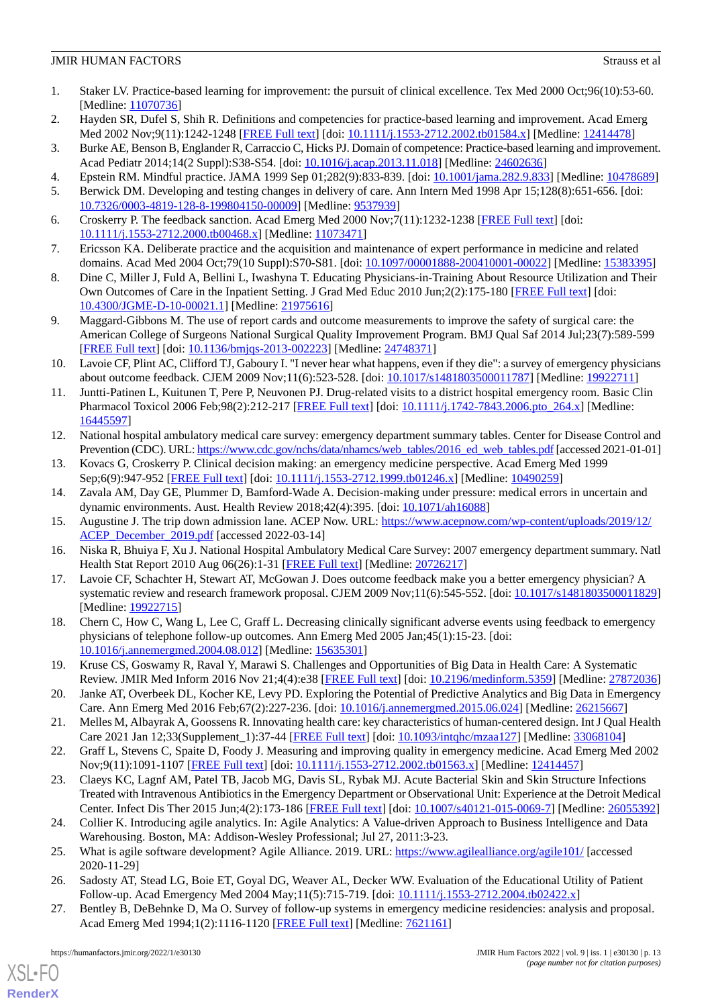- <span id="page-12-0"></span>1. Staker LV. Practice-based learning for improvement: the pursuit of clinical excellence. Tex Med 2000 Oct;96(10):53-60. [Medline: [11070736](http://www.ncbi.nlm.nih.gov/entrez/query.fcgi?cmd=Retrieve&db=PubMed&list_uids=11070736&dopt=Abstract)]
- <span id="page-12-2"></span><span id="page-12-1"></span>2. Hayden SR, Dufel S, Shih R. Definitions and competencies for practice-based learning and improvement. Acad Emerg Med 2002 Nov;9(11):1242-1248 [\[FREE Full text\]](https://onlinelibrary.wiley.com/resolve/openurl?genre=article&sid=nlm:pubmed&issn=1069-6563&date=2002&volume=9&issue=11&spage=1242) [doi: [10.1111/j.1553-2712.2002.tb01584.x](http://dx.doi.org/10.1111/j.1553-2712.2002.tb01584.x)] [Medline: [12414478\]](http://www.ncbi.nlm.nih.gov/entrez/query.fcgi?cmd=Retrieve&db=PubMed&list_uids=12414478&dopt=Abstract)
- <span id="page-12-3"></span>3. Burke AE, Benson B, Englander R, Carraccio C, Hicks PJ. Domain of competence: Practice-based learning and improvement. Acad Pediatr 2014;14(2 Suppl):S38-S54. [doi: [10.1016/j.acap.2013.11.018](http://dx.doi.org/10.1016/j.acap.2013.11.018)] [Medline: [24602636](http://www.ncbi.nlm.nih.gov/entrez/query.fcgi?cmd=Retrieve&db=PubMed&list_uids=24602636&dopt=Abstract)]
- <span id="page-12-4"></span>4. Epstein RM. Mindful practice. JAMA 1999 Sep 01;282(9):833-839. [doi: [10.1001/jama.282.9.833\]](http://dx.doi.org/10.1001/jama.282.9.833) [Medline: [10478689\]](http://www.ncbi.nlm.nih.gov/entrez/query.fcgi?cmd=Retrieve&db=PubMed&list_uids=10478689&dopt=Abstract)
- <span id="page-12-5"></span>5. Berwick DM. Developing and testing changes in delivery of care. Ann Intern Med 1998 Apr 15;128(8):651-656. [doi: [10.7326/0003-4819-128-8-199804150-00009](http://dx.doi.org/10.7326/0003-4819-128-8-199804150-00009)] [Medline: [9537939](http://www.ncbi.nlm.nih.gov/entrez/query.fcgi?cmd=Retrieve&db=PubMed&list_uids=9537939&dopt=Abstract)]
- <span id="page-12-6"></span>6. Croskerry P. The feedback sanction. Acad Emerg Med 2000 Nov;7(11):1232-1238 [[FREE Full text](https://onlinelibrary.wiley.com/resolve/openurl?genre=article&sid=nlm:pubmed&issn=1069-6563&date=2000&volume=7&issue=11&spage=1232)] [doi: [10.1111/j.1553-2712.2000.tb00468.x\]](http://dx.doi.org/10.1111/j.1553-2712.2000.tb00468.x) [Medline: [11073471\]](http://www.ncbi.nlm.nih.gov/entrez/query.fcgi?cmd=Retrieve&db=PubMed&list_uids=11073471&dopt=Abstract)
- <span id="page-12-7"></span>7. Ericsson KA. Deliberate practice and the acquisition and maintenance of expert performance in medicine and related domains. Acad Med 2004 Oct;79(10 Suppl):S70-S81. [doi: [10.1097/00001888-200410001-00022\]](http://dx.doi.org/10.1097/00001888-200410001-00022) [Medline: [15383395](http://www.ncbi.nlm.nih.gov/entrez/query.fcgi?cmd=Retrieve&db=PubMed&list_uids=15383395&dopt=Abstract)]
- <span id="page-12-8"></span>8. Dine C, Miller J, Fuld A, Bellini L, Iwashyna T. Educating Physicians-in-Training About Resource Utilization and Their Own Outcomes of Care in the Inpatient Setting. J Grad Med Educ 2010 Jun;2(2):175-180 [[FREE Full text](http://europepmc.org/abstract/MED/21975616)] [doi: [10.4300/JGME-D-10-00021.1\]](http://dx.doi.org/10.4300/JGME-D-10-00021.1) [Medline: [21975616](http://www.ncbi.nlm.nih.gov/entrez/query.fcgi?cmd=Retrieve&db=PubMed&list_uids=21975616&dopt=Abstract)]
- <span id="page-12-9"></span>9. Maggard-Gibbons M. The use of report cards and outcome measurements to improve the safety of surgical care: the American College of Surgeons National Surgical Quality Improvement Program. BMJ Qual Saf 2014 Jul;23(7):589-599 [[FREE Full text](http://qualitysafety.bmj.com/lookup/pmidlookup?view=long&pmid=24748371)] [doi: [10.1136/bmjqs-2013-002223\]](http://dx.doi.org/10.1136/bmjqs-2013-002223) [Medline: [24748371\]](http://www.ncbi.nlm.nih.gov/entrez/query.fcgi?cmd=Retrieve&db=PubMed&list_uids=24748371&dopt=Abstract)
- <span id="page-12-10"></span>10. Lavoie CF, Plint AC, Clifford TJ, Gaboury I. "I never hear what happens, even if they die": a survey of emergency physicians about outcome feedback. CJEM 2009 Nov;11(6):523-528. [doi: [10.1017/s1481803500011787](http://dx.doi.org/10.1017/s1481803500011787)] [Medline: [19922711\]](http://www.ncbi.nlm.nih.gov/entrez/query.fcgi?cmd=Retrieve&db=PubMed&list_uids=19922711&dopt=Abstract)
- <span id="page-12-11"></span>11. Juntti-Patinen L, Kuitunen T, Pere P, Neuvonen PJ. Drug-related visits to a district hospital emergency room. Basic Clin Pharmacol Toxicol 2006 Feb;98(2):212-217 [\[FREE Full text\]](https://doi.org/10.1111/j.1742-7843.2006.pto_264.x) [doi: [10.1111/j.1742-7843.2006.pto\\_264.x](http://dx.doi.org/10.1111/j.1742-7843.2006.pto_264.x)] [Medline: [16445597](http://www.ncbi.nlm.nih.gov/entrez/query.fcgi?cmd=Retrieve&db=PubMed&list_uids=16445597&dopt=Abstract)]
- 12. National hospital ambulatory medical care survey: emergency department summary tables. Center for Disease Control and Prevention (CDC). URL: [https://www.cdc.gov/nchs/data/nhamcs/web\\_tables/2016\\_ed\\_web\\_tables.pdf](https://www.cdc.gov/nchs/data/nhamcs/web_tables/2016_ed_web_tables.pdf) [accessed 2021-01-01]
- <span id="page-12-12"></span>13. Kovacs G, Croskerry P. Clinical decision making: an emergency medicine perspective. Acad Emerg Med 1999 Sep;6(9):947-952 [[FREE Full text](https://onlinelibrary.wiley.com/resolve/openurl?genre=article&sid=nlm:pubmed&issn=1069-6563&date=1999&volume=6&issue=9&spage=947)] [doi: [10.1111/j.1553-2712.1999.tb01246.x\]](http://dx.doi.org/10.1111/j.1553-2712.1999.tb01246.x) [Medline: [10490259\]](http://www.ncbi.nlm.nih.gov/entrez/query.fcgi?cmd=Retrieve&db=PubMed&list_uids=10490259&dopt=Abstract)
- <span id="page-12-13"></span>14. Zavala AM, Day GE, Plummer D, Bamford-Wade A. Decision-making under pressure: medical errors in uncertain and dynamic environments. Aust. Health Review 2018;42(4):395. [doi: [10.1071/ah16088](http://dx.doi.org/10.1071/ah16088)]
- <span id="page-12-14"></span>15. Augustine J. The trip down admission lane. ACEP Now. URL: [https://www.acepnow.com/wp-content/uploads/2019/12/](https://www.acepnow.com/wp-content/uploads/2019/12/ACEP_December_2019.pdf) [ACEP\\_December\\_2019.pdf](https://www.acepnow.com/wp-content/uploads/2019/12/ACEP_December_2019.pdf) [accessed 2022-03-14]
- <span id="page-12-15"></span>16. Niska R, Bhuiya F, Xu J. National Hospital Ambulatory Medical Care Survey: 2007 emergency department summary. Natl Health Stat Report 2010 Aug 06(26):1-31 [\[FREE Full text\]](https://www.cdc.gov/nchs/data/nhsr/nhsr026.pdf) [Medline: [20726217\]](http://www.ncbi.nlm.nih.gov/entrez/query.fcgi?cmd=Retrieve&db=PubMed&list_uids=20726217&dopt=Abstract)
- <span id="page-12-16"></span>17. Lavoie CF, Schachter H, Stewart AT, McGowan J. Does outcome feedback make you a better emergency physician? A systematic review and research framework proposal. CJEM 2009 Nov;11(6):545-552. [doi: [10.1017/s1481803500011829](http://dx.doi.org/10.1017/s1481803500011829)] [Medline: [19922715](http://www.ncbi.nlm.nih.gov/entrez/query.fcgi?cmd=Retrieve&db=PubMed&list_uids=19922715&dopt=Abstract)]
- <span id="page-12-17"></span>18. Chern C, How C, Wang L, Lee C, Graff L. Decreasing clinically significant adverse events using feedback to emergency physicians of telephone follow-up outcomes. Ann Emerg Med 2005 Jan;45(1):15-23. [doi: [10.1016/j.annemergmed.2004.08.012](http://dx.doi.org/10.1016/j.annemergmed.2004.08.012)] [Medline: [15635301\]](http://www.ncbi.nlm.nih.gov/entrez/query.fcgi?cmd=Retrieve&db=PubMed&list_uids=15635301&dopt=Abstract)
- <span id="page-12-19"></span><span id="page-12-18"></span>19. Kruse CS, Goswamy R, Raval Y, Marawi S. Challenges and Opportunities of Big Data in Health Care: A Systematic Review. JMIR Med Inform 2016 Nov 21;4(4):e38 [[FREE Full text](https://medinform.jmir.org/2016/4/e38/)] [doi: [10.2196/medinform.5359\]](http://dx.doi.org/10.2196/medinform.5359) [Medline: [27872036](http://www.ncbi.nlm.nih.gov/entrez/query.fcgi?cmd=Retrieve&db=PubMed&list_uids=27872036&dopt=Abstract)]
- <span id="page-12-20"></span>20. Janke AT, Overbeek DL, Kocher KE, Levy PD. Exploring the Potential of Predictive Analytics and Big Data in Emergency Care. Ann Emerg Med 2016 Feb;67(2):227-236. [doi: [10.1016/j.annemergmed.2015.06.024\]](http://dx.doi.org/10.1016/j.annemergmed.2015.06.024) [Medline: [26215667\]](http://www.ncbi.nlm.nih.gov/entrez/query.fcgi?cmd=Retrieve&db=PubMed&list_uids=26215667&dopt=Abstract)
- 21. Melles M, Albayrak A, Goossens R. Innovating health care: key characteristics of human-centered design. Int J Qual Health Care 2021 Jan 12;33(Supplement\_1):37-44 [\[FREE Full text\]](http://europepmc.org/abstract/MED/33068104) [doi: [10.1093/intqhc/mzaa127](http://dx.doi.org/10.1093/intqhc/mzaa127)] [Medline: [33068104\]](http://www.ncbi.nlm.nih.gov/entrez/query.fcgi?cmd=Retrieve&db=PubMed&list_uids=33068104&dopt=Abstract)
- <span id="page-12-21"></span>22. Graff L, Stevens C, Spaite D, Foody J. Measuring and improving quality in emergency medicine. Acad Emerg Med 2002 Nov;9(11):1091-1107 [[FREE Full text](https://onlinelibrary.wiley.com/resolve/openurl?genre=article&sid=nlm:pubmed&issn=1069-6563&date=2002&volume=9&issue=11&spage=1091)] [doi: [10.1111/j.1553-2712.2002.tb01563.x\]](http://dx.doi.org/10.1111/j.1553-2712.2002.tb01563.x) [Medline: [12414457](http://www.ncbi.nlm.nih.gov/entrez/query.fcgi?cmd=Retrieve&db=PubMed&list_uids=12414457&dopt=Abstract)]
- <span id="page-12-23"></span><span id="page-12-22"></span>23. Claeys KC, Lagnf AM, Patel TB, Jacob MG, Davis SL, Rybak MJ. Acute Bacterial Skin and Skin Structure Infections Treated with Intravenous Antibiotics in the Emergency Department or Observational Unit: Experience at the Detroit Medical Center. Infect Dis Ther 2015 Jun;4(2):173-186 [[FREE Full text](http://europepmc.org/abstract/MED/26055392)] [doi: [10.1007/s40121-015-0069-7\]](http://dx.doi.org/10.1007/s40121-015-0069-7) [Medline: [26055392\]](http://www.ncbi.nlm.nih.gov/entrez/query.fcgi?cmd=Retrieve&db=PubMed&list_uids=26055392&dopt=Abstract)
- <span id="page-12-24"></span>24. Collier K. Introducing agile analytics. In: Agile Analytics: A Value-driven Approach to Business Intelligence and Data Warehousing. Boston, MA: Addison-Wesley Professional; Jul 27, 2011:3-23.
- 25. What is agile software development? Agile Alliance. 2019. URL: <https://www.agilealliance.org/agile101/> [accessed 2020-11-29]
- 26. Sadosty AT, Stead LG, Boie ET, Goyal DG, Weaver AL, Decker WW. Evaluation of the Educational Utility of Patient Follow-up. Acad Emergency Med 2004 May;11(5):715-719. [doi: [10.1111/j.1553-2712.2004.tb02422.x\]](http://dx.doi.org/10.1111/j.1553-2712.2004.tb02422.x)
- 27. Bentley B, DeBehnke D, Ma O. Survey of follow-up systems in emergency medicine residencies: analysis and proposal. Acad Emerg Med 1994;1(2):1116-1120 [\[FREE Full text\]](https://onlinelibrary.wiley.com/resolve/openurl?genre=article&sid=nlm:pubmed&issn=1069-6563&date=1994&volume=1&issue=2&spage=1116) [Medline: [7621161](http://www.ncbi.nlm.nih.gov/entrez/query.fcgi?cmd=Retrieve&db=PubMed&list_uids=7621161&dopt=Abstract)]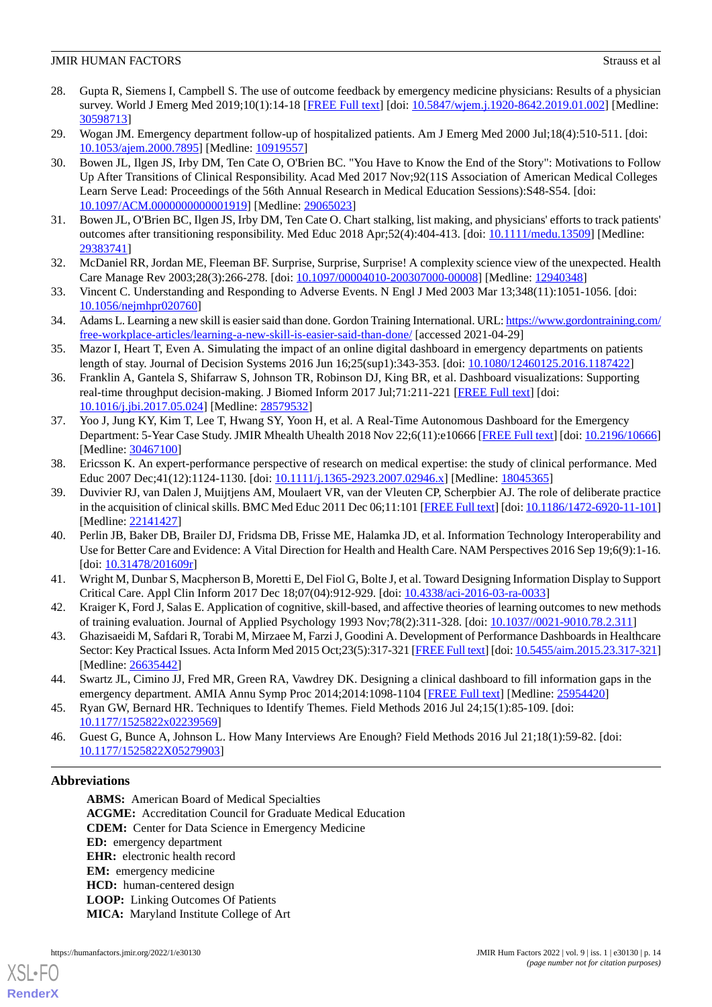- 28. Gupta R, Siemens I, Campbell S. The use of outcome feedback by emergency medicine physicians: Results of a physician survey. World J Emerg Med 2019;10(1):14-18 [\[FREE Full text\]](http://europepmc.org/abstract/MED/30598713) [doi: [10.5847/wjem.j.1920-8642.2019.01.002\]](http://dx.doi.org/10.5847/wjem.j.1920-8642.2019.01.002) [Medline: [30598713](http://www.ncbi.nlm.nih.gov/entrez/query.fcgi?cmd=Retrieve&db=PubMed&list_uids=30598713&dopt=Abstract)]
- <span id="page-13-1"></span><span id="page-13-0"></span>29. Wogan JM. Emergency department follow-up of hospitalized patients. Am J Emerg Med 2000 Jul;18(4):510-511. [doi: [10.1053/ajem.2000.7895](http://dx.doi.org/10.1053/ajem.2000.7895)] [Medline: [10919557](http://www.ncbi.nlm.nih.gov/entrez/query.fcgi?cmd=Retrieve&db=PubMed&list_uids=10919557&dopt=Abstract)]
- 30. Bowen JL, Ilgen JS, Irby DM, Ten Cate O, O'Brien BC. "You Have to Know the End of the Story": Motivations to Follow Up After Transitions of Clinical Responsibility. Acad Med 2017 Nov;92(11S Association of American Medical Colleges Learn Serve Lead: Proceedings of the 56th Annual Research in Medical Education Sessions):S48-S54. [doi: [10.1097/ACM.0000000000001919\]](http://dx.doi.org/10.1097/ACM.0000000000001919) [Medline: [29065023](http://www.ncbi.nlm.nih.gov/entrez/query.fcgi?cmd=Retrieve&db=PubMed&list_uids=29065023&dopt=Abstract)]
- <span id="page-13-3"></span><span id="page-13-2"></span>31. Bowen JL, O'Brien BC, Ilgen JS, Irby DM, Ten Cate O. Chart stalking, list making, and physicians' efforts to track patients' outcomes after transitioning responsibility. Med Educ 2018 Apr;52(4):404-413. [doi: [10.1111/medu.13509\]](http://dx.doi.org/10.1111/medu.13509) [Medline: [29383741](http://www.ncbi.nlm.nih.gov/entrez/query.fcgi?cmd=Retrieve&db=PubMed&list_uids=29383741&dopt=Abstract)]
- 32. McDaniel RR, Jordan ME, Fleeman BF. Surprise, Surprise, Surprise! A complexity science view of the unexpected. Health Care Manage Rev 2003;28(3):266-278. [doi: [10.1097/00004010-200307000-00008\]](http://dx.doi.org/10.1097/00004010-200307000-00008) [Medline: [12940348\]](http://www.ncbi.nlm.nih.gov/entrez/query.fcgi?cmd=Retrieve&db=PubMed&list_uids=12940348&dopt=Abstract)
- <span id="page-13-4"></span>33. Vincent C. Understanding and Responding to Adverse Events. N Engl J Med 2003 Mar 13;348(11):1051-1056. [doi: [10.1056/nejmhpr020760](http://dx.doi.org/10.1056/nejmhpr020760)]
- <span id="page-13-5"></span>34. Adams L. Learning a new skill is easier said than done. Gordon Training International. URL: [https://www.gordontraining.com/](https://www.gordontraining.com/free-workplace-articles/learning-a-new-skill-is-easier-said-than-done/) [free-workplace-articles/learning-a-new-skill-is-easier-said-than-done/](https://www.gordontraining.com/free-workplace-articles/learning-a-new-skill-is-easier-said-than-done/) [accessed 2021-04-29]
- <span id="page-13-13"></span>35. Mazor I, Heart T, Even A. Simulating the impact of an online digital dashboard in emergency departments on patients length of stay. Journal of Decision Systems 2016 Jun 16;25(sup1):343-353. [doi: [10.1080/12460125.2016.1187422\]](http://dx.doi.org/10.1080/12460125.2016.1187422)
- <span id="page-13-6"></span>36. Franklin A, Gantela S, Shifarraw S, Johnson TR, Robinson DJ, King BR, et al. Dashboard visualizations: Supporting real-time throughput decision-making. J Biomed Inform 2017 Jul;71:211-221 [[FREE Full text](https://linkinghub.elsevier.com/retrieve/pii/S1532-0464(17)30123-5)] [doi: [10.1016/j.jbi.2017.05.024](http://dx.doi.org/10.1016/j.jbi.2017.05.024)] [Medline: [28579532\]](http://www.ncbi.nlm.nih.gov/entrez/query.fcgi?cmd=Retrieve&db=PubMed&list_uids=28579532&dopt=Abstract)
- <span id="page-13-7"></span>37. Yoo J, Jung KY, Kim T, Lee T, Hwang SY, Yoon H, et al. A Real-Time Autonomous Dashboard for the Emergency Department: 5-Year Case Study. JMIR Mhealth Uhealth 2018 Nov 22;6(11):e10666 [\[FREE Full text\]](https://mhealth.jmir.org/2018/11/e10666/) [doi: [10.2196/10666](http://dx.doi.org/10.2196/10666)] [Medline: [30467100](http://www.ncbi.nlm.nih.gov/entrez/query.fcgi?cmd=Retrieve&db=PubMed&list_uids=30467100&dopt=Abstract)]
- <span id="page-13-8"></span>38. Ericsson K. An expert-performance perspective of research on medical expertise: the study of clinical performance. Med Educ 2007 Dec;41(12):1124-1130. [doi: [10.1111/j.1365-2923.2007.02946.x\]](http://dx.doi.org/10.1111/j.1365-2923.2007.02946.x) [Medline: [18045365](http://www.ncbi.nlm.nih.gov/entrez/query.fcgi?cmd=Retrieve&db=PubMed&list_uids=18045365&dopt=Abstract)]
- <span id="page-13-9"></span>39. Duvivier RJ, van Dalen J, Muijtjens AM, Moulaert VR, van der Vleuten CP, Scherpbier AJ. The role of deliberate practice in the acquisition of clinical skills. BMC Med Educ 2011 Dec 06;11:101 [[FREE Full text\]](https://bmcmededuc.biomedcentral.com/articles/10.1186/1472-6920-11-101) [doi: [10.1186/1472-6920-11-101\]](http://dx.doi.org/10.1186/1472-6920-11-101) [Medline: [22141427](http://www.ncbi.nlm.nih.gov/entrez/query.fcgi?cmd=Retrieve&db=PubMed&list_uids=22141427&dopt=Abstract)]
- <span id="page-13-11"></span><span id="page-13-10"></span>40. Perlin JB, Baker DB, Brailer DJ, Fridsma DB, Frisse ME, Halamka JD, et al. Information Technology Interoperability and Use for Better Care and Evidence: A Vital Direction for Health and Health Care. NAM Perspectives 2016 Sep 19;6(9):1-16.  $[doi: 10.31478/201609r]$  $[doi: 10.31478/201609r]$
- <span id="page-13-12"></span>41. Wright M, Dunbar S, Macpherson B, Moretti E, Del Fiol G, Bolte J, et al. Toward Designing Information Display to Support Critical Care. Appl Clin Inform 2017 Dec 18;07(04):912-929. [doi: [10.4338/aci-2016-03-ra-0033](http://dx.doi.org/10.4338/aci-2016-03-ra-0033)]
- <span id="page-13-14"></span>42. Kraiger K, Ford J, Salas E. Application of cognitive, skill-based, and affective theories of learning outcomes to new methods of training evaluation. Journal of Applied Psychology 1993 Nov;78(2):311-328. [doi: [10.1037//0021-9010.78.2.311](http://dx.doi.org/10.1037//0021-9010.78.2.311)]
- <span id="page-13-15"></span>43. Ghazisaeidi M, Safdari R, Torabi M, Mirzaee M, Farzi J, Goodini A. Development of Performance Dashboards in Healthcare Sector: Key Practical Issues. Acta Inform Med 2015 Oct;23(5):317-321 [[FREE Full text\]](http://europepmc.org/abstract/MED/26635442) [doi: [10.5455/aim.2015.23.317-321\]](http://dx.doi.org/10.5455/aim.2015.23.317-321) [Medline: [26635442](http://www.ncbi.nlm.nih.gov/entrez/query.fcgi?cmd=Retrieve&db=PubMed&list_uids=26635442&dopt=Abstract)]
- <span id="page-13-16"></span>44. Swartz JL, Cimino JJ, Fred MR, Green RA, Vawdrey DK. Designing a clinical dashboard to fill information gaps in the emergency department. AMIA Annu Symp Proc 2014;2014:1098-1104 [[FREE Full text](http://europepmc.org/abstract/MED/25954420)] [Medline: [25954420](http://www.ncbi.nlm.nih.gov/entrez/query.fcgi?cmd=Retrieve&db=PubMed&list_uids=25954420&dopt=Abstract)]
- 45. Ryan GW, Bernard HR. Techniques to Identify Themes. Field Methods 2016 Jul 24;15(1):85-109. [doi: [10.1177/1525822x02239569\]](http://dx.doi.org/10.1177/1525822x02239569)
- 46. Guest G, Bunce A, Johnson L. How Many Interviews Are Enough? Field Methods 2016 Jul 21;18(1):59-82. [doi: [10.1177/1525822X05279903](http://dx.doi.org/10.1177/1525822X05279903)]

# **Abbreviations**

[XSL](http://www.w3.org/Style/XSL)•FO **[RenderX](http://www.renderx.com/)**

**ABMS:** American Board of Medical Specialties **ACGME:** Accreditation Council for Graduate Medical Education **CDEM:** Center for Data Science in Emergency Medicine **ED:** emergency department **EHR:** electronic health record **EM:** emergency medicine **HCD:** human-centered design **LOOP:** Linking Outcomes Of Patients **MICA:** Maryland Institute College of Art